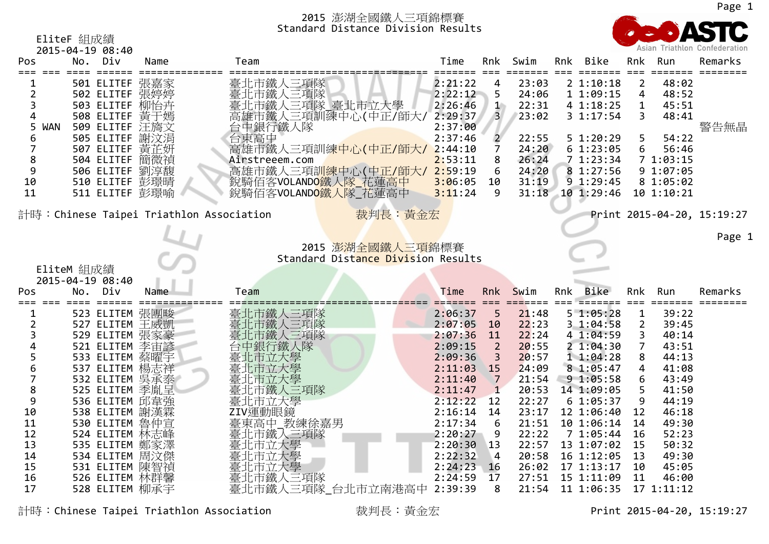

# EliteF 組成績 2015‐04‐19 08:40

|                                    |       |            | <b>2013-04-19 C.40</b> |                                         |                |                     |         |     |       |     |                |     |            |                            |
|------------------------------------|-------|------------|------------------------|-----------------------------------------|----------------|---------------------|---------|-----|-------|-----|----------------|-----|------------|----------------------------|
| Pos                                |       |            | No. Div                | Name                                    | Team           |                     | Time    | Rnk | Swim  | Rnk | Bike           | Rnk | Run        | Remarks                    |
|                                    |       |            |                        |                                         |                |                     |         |     |       |     |                |     |            |                            |
|                                    |       |            |                        | 501 ELITEF 張嘉家                          | 臺北市鐵人三項隊       |                     | 2:21:22 | 4   | 23:03 |     | $2\;1:10:18$   |     | 48:02      |                            |
|                                    |       |            | 502 ELITEF 張婷婷         |                                         | 臺北市鐵人三項隊       |                     | 2:22:12 | 5.  | 24:06 |     | 11:09:15       | 4   | 48:52      |                            |
|                                    |       |            | 503 ELITEF 柳怡卉         |                                         |                | 臺北市鐵人三項隊_臺北市立大學     | 2:26:46 | -14 | 22:31 |     | 4 1:18:25      |     | 45:51      |                            |
|                                    |       |            |                        | 508 ELITEF 黃干嫣                          |                | 高雄市鐵人三項訓練中心(中正/師大/  | 2:29:37 | 3   | 23:02 |     | $3 \; 1:17:54$ |     | 48:41      |                            |
|                                    | 5 WAN |            | 509 ELITEF 汪旖文         |                                         | 台中銀行鐵人隊        |                     | 2:37:00 |     |       |     |                |     |            | 警告無晶                       |
|                                    |       |            | 505 ELITEF 謝汶涓         |                                         | 台東高中           |                     | 2:37:46 |     | 22:55 |     | $5 \; 1:20:29$ |     | 54:22      |                            |
|                                    |       |            | 507 ELITEF 黄芷妍         |                                         |                | 高雄市鐵人三項訓練中心(中正/師大/  | 2:44:10 |     | 24:20 |     | 61:23:05       |     | 56:46      |                            |
| 8                                  |       |            | 504 ELITEF 簡微禎         |                                         | Airstreeem.com |                     | 2:53:11 | 8   | 26:24 |     | 71:23:34       |     | 71:03:15   |                            |
|                                    |       |            | 506 ELITEF 劉淳馥         |                                         |                | 高雄市鐵人三項訓練中心(中正/師大/  | 2:59:19 | 6.  | 24:20 |     | 81:27:56       |     | 9 1:07:05  |                            |
| 10                                 |       |            |                        | 510 ELITEF 彭璟晴                          |                | 銳騎佰客VOLANDO鐵人隊 花蓮高中 | 3:06:05 |     | 31:19 |     | 9 1:29:45      |     | 8 1:05:02  |                            |
|                                    |       |            |                        |                                         |                |                     |         | 10  |       |     |                |     |            |                            |
| 11                                 |       |            |                        | 511 ELITEF 彭璟喻                          |                | 銳騎佰客VOLANDO鐵人隊 花蓮高中 | 3:11:24 | 9   | 31:18 |     | 101:29:46      |     | 10 1:10:21 |                            |
|                                    |       |            |                        |                                         |                |                     |         |     |       |     |                |     |            |                            |
|                                    |       |            |                        | 計時:Chinese Taipei Triathlon Association |                | 裁判長:黃金宏             |         |     |       |     |                |     |            | Print 2015-04-20, 15:19:27 |
|                                    |       |            |                        |                                         |                |                     |         |     |       |     |                |     |            |                            |
|                                    |       |            |                        |                                         |                |                     |         |     |       |     |                |     |            | Page 1                     |
| 2015 澎湖全國鐵人三項錦標賽                   |       |            |                        |                                         |                |                     |         |     |       |     |                |     |            |                            |
| Standard Distance Division Results |       |            |                        |                                         |                |                     |         |     |       |     |                |     |            |                            |
|                                    |       | EliteM 組成績 |                        |                                         |                |                     |         |     |       |     |                |     |            |                            |
|                                    |       |            |                        |                                         |                |                     |         |     |       |     |                |     |            |                            |

|     |     | 2015-04-19 08:40 |                |                             |              |                |       |     |                |              |            |         |
|-----|-----|------------------|----------------|-----------------------------|--------------|----------------|-------|-----|----------------|--------------|------------|---------|
| Pos | No. | Div              | Name           | Team                        | Time         | Rnk            | Swim  | Rnk | Bike           |              | Rnk Run    | Remarks |
|     |     |                  | 523 ELITEM 張團畯 | 臺北市鐵人三項隊                    | 2:06:37      | -5             | 21:48 |     | $5 \; 1:05:28$ | $\mathbf{1}$ | 39:22      |         |
|     |     |                  | 527 ELITEM 王威凱 | 臺北市鐵人三項隊                    | $2:07:05$ 10 |                | 22:23 |     | 31:04:58       | $\mathbf{2}$ | 39:45      |         |
|     |     |                  | 529 ELITEM 張家豪 | 臺北市鐵人三項隊                    | $2:07:36$ 11 |                | 22:24 |     | 4 1:04:59      | 3            | 40:14      |         |
|     |     |                  | 521 ELITEM 李宙諺 | 台中銀行鐵人隊                     | 2:09:15      | $\overline{2}$ | 20:55 |     | 21:04:30       | 7            | 43:51      |         |
|     |     |                  | 533 ELITEM 蔡曜宇 | 臺北市立大學                      | $2:09:36$ 3  |                | 20:57 |     | 11:04:28       | 8            | 44:13      |         |
|     |     |                  | 537 ELITEM 楊志祥 | 臺北市立大學                      | 2:11:03      | 15             | 24:09 |     | 8 1:05:47      | 4            | 41:08      |         |
|     |     |                  | 532 ELITEM 吳承泰 | 臺北市立大學                      | 2:11:40      | $\overline{7}$ | 21:54 |     | 9 1:05:58      | 6            | 43:49      |         |
|     |     |                  | 525 ELITEM 季胤呈 | 臺北市鐵人三項隊                    | 2:11:47      |                | 20:53 |     | 14 1:09:05     | 5.           | 41:50      |         |
|     |     |                  | 536 ELITEM 邱韋強 | 臺北市立大學                      | $2:12:22$ 12 |                | 22:27 |     | 6 1:05:37      | 9            | 44:19      |         |
| 10  |     |                  | 538 ELITEM 謝漢霖 | ZIV運動眼鏡                     | $2:16:14$ 14 |                | 23:17 |     | 12 1:06:40     | 12           | 46:18      |         |
| 11  |     | 530 ELITEM 魯仲宣   |                | 臺東高中_教練徐嘉男<br>臺北市鐵人三項隊      | 2:17:34      | -6             | 21:51 |     | 10 1:06:14     | 14           | 49:30      |         |
| 12  |     |                  | 524 ELITEM 林志峰 |                             | 2:20:27      | -9             | 22:22 |     | 7 1:05:44      | 16           | 52:23      |         |
| 13  |     |                  | 535 ELITEM 鄭家澤 | 臺北市立大學                      | $2:20:30$ 13 |                | 22:57 |     | 13 1:07:02     | 15           | 50:32      |         |
| 14  |     |                  | 534 ELITEM 周汶傑 | 臺北市立大學                      | 2:22:32      | $\overline{4}$ | 20:58 |     | 16 1:12:05     | -13          | 49:30      |         |
| 15  |     |                  | 531 ELITEM 陳智禎 | 臺北市立大學                      | $2:24:23$ 16 |                | 26:02 |     | $17$ $1:13:17$ | 10           | 45:05      |         |
| 16  |     |                  | 526 ELITEM 林群馨 | 臺北市鐵人三項隊                    | $2:24:59$ 17 |                | 27:51 |     | 15 1:11:09     | 11           | 46:00      |         |
| 17  |     |                  | 528 ELITEM 柳承宇 | 臺北市鐵人三項隊_台北市立南港高中 2:39:39 8 |              |                | 21:54 |     | 11 1:06:35     |              | 17 1:11:12 |         |

計時:Chinese Taipei Triathlon Association 裁判長:黃金宏 Print 2015-04-20, 15:19:27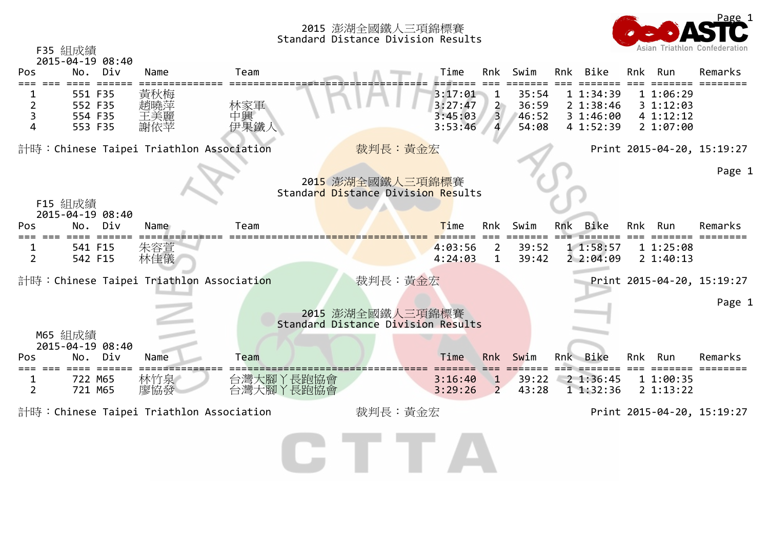

|                | F35 組成績<br>2015-04-19 08:40              |                          |                        |                                                        |                                          |                                |                                  |     |                                                 |     |                                                | Asian Triathlon Confederation |
|----------------|------------------------------------------|--------------------------|------------------------|--------------------------------------------------------|------------------------------------------|--------------------------------|----------------------------------|-----|-------------------------------------------------|-----|------------------------------------------------|-------------------------------|
| Pos            | Div<br>No.                               | Name                     | Team                   |                                                        | Time                                     | Rnk                            | Swim                             |     | Rnk Bike                                        | Rnk | Run                                            | Remarks                       |
| 2<br>3<br>4    | 551 F35<br>552 F35<br>554 F35<br>553 F35 | 黃秋梅<br>趙曉萍<br>王美麗<br>謝依苹 | 林家軍<br>中興<br>伊果鐵人      |                                                        | 3:17:01<br>3:27:47<br>3:45:03<br>3:53:46 | $\overline{2}$<br>3            | 35:54<br>36:59<br>46:52<br>54:08 |     | 11:34:39<br>2 1:38:46<br>3 1:46:00<br>4 1:52:39 |     | 1 1:06:29<br>31:12:03<br>4 1:12:12<br>21:07:00 |                               |
|                | 計時:Chinese Taipei Triathlon Association  |                          |                        | 裁判長:黃金宏                                                |                                          |                                |                                  |     |                                                 |     |                                                | Print 2015-04-20, 15:19:27    |
|                | F15 組成績<br>2015-04-19 08:40              |                          |                        | 2015 澎湖全國鐵人三項錦標賽<br>Standard Distance Division Results |                                          |                                |                                  |     |                                                 |     |                                                | Page 1                        |
| Pos            | Div<br>No.                               | Name                     | Team                   |                                                        | Time                                     | Rnk                            | Swim                             | Rnk | Bike                                            | Rnk | Run                                            | Remarks                       |
| $\overline{2}$ | 541 F15<br>542 F15                       | 朱容萱<br>林佳儀               |                        |                                                        | 4:03:56<br>4:24:03                       | 2<br>$\mathbf{1}$              | 39:52<br>39:42                   |     | 11:58:57<br>22:04:09                            |     | 11:25:08<br>2 1:40:13                          |                               |
|                | 計時:Chinese Taipei Triathlon Association  |                          |                        | 裁判長:黃金宏                                                |                                          |                                |                                  |     |                                                 |     |                                                | Print 2015-04-20, 15:19:27    |
|                | M65 組成績                                  |                          |                        | 2015 澎湖全國鐵人三項錦標賽<br>Standard Distance Division Results |                                          |                                |                                  |     |                                                 |     |                                                | Page 1                        |
| Pos            | 2015-04-19 08:40<br>Div<br>No.           | Name                     | Team                   |                                                        | Time                                     | <b>Rnk</b>                     | Swim                             |     | Rnk Bike                                        | Rnk | Run                                            | Remarks                       |
| $\overline{2}$ | 722 M65<br>721 M65                       | 林竹泉<br>廖協發               | 台灣大腳丫長跑協會<br>台灣大腳丫長跑協會 |                                                        | 3:16:40<br>3:29:26                       | $\mathbf{1}$<br>$\overline{2}$ | 39:22<br>43:28                   |     | $2$ 1:36:45<br>1 1:32:36                        |     | 11:00:35<br>2 1:13:22                          |                               |
|                | 計時:Chinese Taipei Triathlon Association  |                          |                        | 裁判長:黃金宏                                                |                                          |                                |                                  |     |                                                 |     |                                                | Print 2015-04-20, 15:19:27    |
|                |                                          |                          |                        |                                                        |                                          |                                |                                  |     |                                                 |     |                                                |                               |

GTTA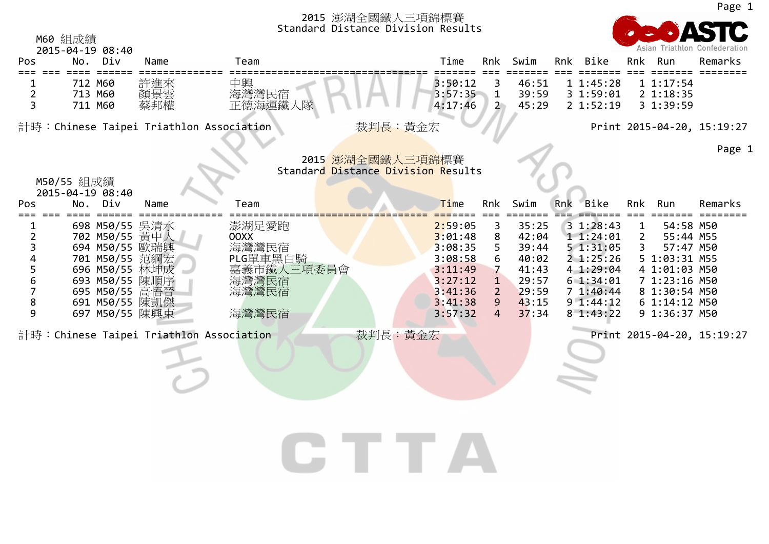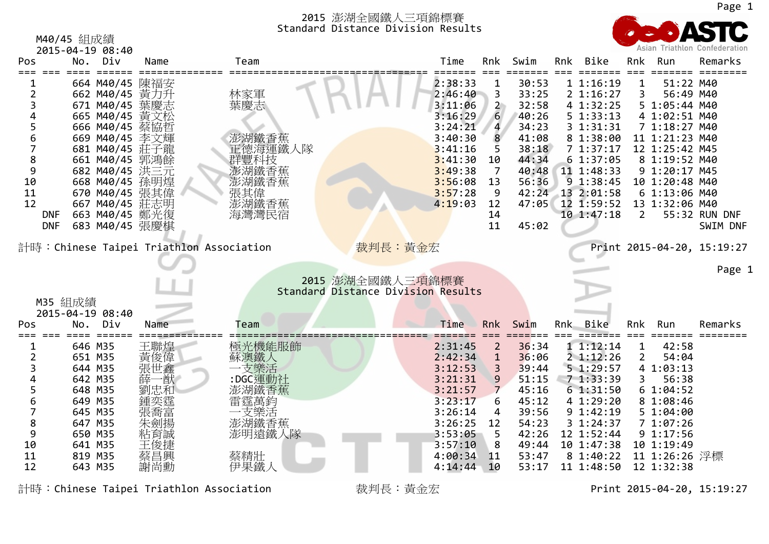|                | M40/45 組成績                     |                |                                         | Standard Distance Division Results        |                |                |     |                        |                |                                | Asian Triathlon Confederation |
|----------------|--------------------------------|----------------|-----------------------------------------|-------------------------------------------|----------------|----------------|-----|------------------------|----------------|--------------------------------|-------------------------------|
| Pos            | 2015-04-19 08:40<br>Div<br>No. | Name           | Team                                    | Time                                      | Rnk            | Swim           | Rnk | Bike                   | Rnk            | Run                            | Remarks                       |
|                | 664 M40/45                     | 陳福安            |                                         | 2:38:33                                   |                | 30:53          |     | 11:16:19               |                | 51:22 M40                      |                               |
| $\overline{2}$ | 662 M40/45                     | 黃力升            | 林家軍                                     | 2:46:40                                   | 3              | 33:25          |     | 2 1:16:27              | 3              | 56:49 M40                      |                               |
| 3              | 671 M40/45                     |                | 葉慶志                                     | 3:11:06                                   | $\overline{2}$ | 32:58          |     | 4 1:32:25              |                | 5 1:05:44 M40                  |                               |
|                | 665 M40/45                     | 黃文松            |                                         | 3:16:29<br>3:24:21                        | 6              | 40:26<br>34:23 |     | 5 1:33:13<br>3 1:31:31 |                | 4 1:02:51 M40<br>7 1:18:27 M40 |                               |
| 5<br>6         | 666 M40/45<br>669 M40/45 李文輝   | 蔡協哲            |                                         | 3:40:30                                   | 4<br>8         | 41:08          |     | 8 1:38:00              |                | 11 1:21:23 M40                 |                               |
| 7              | 681 M40/45 莊子龍                 |                | 澎湖鐵香蕉<br>正德海運鐵人隊                        | 3:41:16                                   | 5              | 38:18          |     | 71:37:17               |                | 12 1:25:42 M45                 |                               |
| 8              | 661 M40/45                     | 郭鴻餘            | 群豐科技                                    | 3:41:30                                   | 10             | 44:34          |     | 61:37:05               |                | 8 1:19:52 M40                  |                               |
| 9              | 682 M40/45 洪三元                 |                |                                         | 3:49:38                                   | 7              | 40:48          |     | 11 1:48:33             |                | 9 1:20:17 M45                  |                               |
| 10             | 668 M40/45                     | 孫明煌            | 澎湖鐵香蕉                                   | 3:56:08                                   | 13             | 56:36          |     | 9 1:38:45              |                | 10 1:20:48 M40                 |                               |
| 11             | 670 M40/45                     | 張其偉            | 張其偉                                     | 3:57:28                                   | 9              | 42:24          |     | 13 2:01:58             |                | 6 1:13:06 M40                  |                               |
| 12             | 667 M40/45                     | 莊志明            | 澎湖鐵香蕉                                   | 4:19:03                                   | 12             | 47:05          |     | 12 1:59:52             |                | 13 1:32:06 M40                 |                               |
|                | 663 M40/45 鄭光復<br><b>DNF</b>   |                | 海灣灣民宿                                   |                                           | 14             |                |     | 10 1:47:18             | $\overline{2}$ |                                | 55:32 RUN DNF                 |
|                | 683 M40/45 張慶棋<br><b>DNF</b>   |                |                                         |                                           | 11             | 45:02          |     |                        |                |                                | SWIM DNF                      |
|                |                                |                | 計時:Chinese Taipei Triathlon Association | 裁判長:黃金宏                                   |                |                |     |                        |                |                                | Print 2015-04-20, 15:19:27    |
|                |                                |                |                                         |                                           |                |                |     |                        |                |                                | Page                          |
|                |                                |                |                                         | 2015 澎湖全國鐵人三項錦標賽                          |                |                |     |                        |                |                                |                               |
|                |                                |                |                                         | <b>Standard Distance Division Results</b> |                |                |     |                        |                |                                |                               |
|                | M35 組成績<br>2015-04-19 08:40    |                |                                         |                                           |                |                |     |                        |                |                                |                               |
| Pos            | Div<br>No.                     | Name           | Team                                    | Time                                      | <b>Rnk</b>     | Swim           | Rnk | <b>Bike</b>            | Rnk            | Run                            | Remarks                       |
|                |                                |                |                                         |                                           |                |                |     |                        |                |                                |                               |
|                | 646 M35                        | 王聯煌            | 極光機能服飾                                  | 2:31:45                                   | $\overline{2}$ | 36:34          |     | 11:12:14               | 1              | 42:58                          |                               |
| 2              | 651 M35                        | 黃俊偉            | 蘇澳鐵人                                    | 2:42:34                                   | $\mathbf{1}$   | 36:06          |     | $2$ 1:12:26            | $\overline{2}$ | 54:04                          |                               |
| 3              | 644 M35                        | 張世鑫            | 支樂活                                     | 3:12:53                                   | 3              | 39:44          |     | 51:29:57               |                | 4 1:03:13                      |                               |
| 4<br>5         | 642 M35<br>648 M35             | ·猷<br>薛<br>劉忠和 | :DGC運動社                                 | 3:21:31<br>3:21:57                        | 9<br>7         | 51:15<br>45:16 |     | 71:33:39<br>61:31:50   | 3              | 56:38<br>61:04:52              |                               |
| 6              | 649 M35                        | 鍾奕霆            | 澎湖鐵香蕉<br>雷霆萬鈞                           | 3:23:17                                   | 6              | 45:12          |     | 4 1:29:20              |                | 8 1:08:46                      |                               |
| 7              | 645 M35                        | 張喬富            |                                         | 3:26:14                                   | 4              | 39:56          |     | 9 1:42:19              |                | 51:04:00                       |                               |
| 8              | 647 M35                        | 朱劍揚            | 二支樂活<br>澎湖鐵香蕉                           | 3:26:25                                   | 12             | 54:23          |     | 31:24:37               |                | 71:07:26                       |                               |
| 9              | 650 M35                        | 粘育誠            | 澎明遠鐵人隊                                  | 3:53:05                                   | 5              | 42:26          |     | 12 1:52:44             |                | 91:17:56                       |                               |
| 10             | 641 M35                        |                |                                         | 3:57:10                                   | 8              | 49:44          |     | 10 1:47:38             |                | 10 1:19:49                     |                               |
| 11             | 819 M35                        |                | 蔡精壯                                     | 4:00:34                                   | 11             | 53:47          |     | 8 1:40:22              |                | 11 1:26:26 浮標                  |                               |
| 12             | 643 M35                        | 謝尚勳            | 伊果鐵人                                    | 4:14:44                                   | 10             | 53:17          |     | 11 1:48:50             |                | 12 1:32:38                     |                               |

計時:Chinese Taipei Triathlon Association 裁判長:黃金宏 Print 2015-04-20, 15:19:27

1

m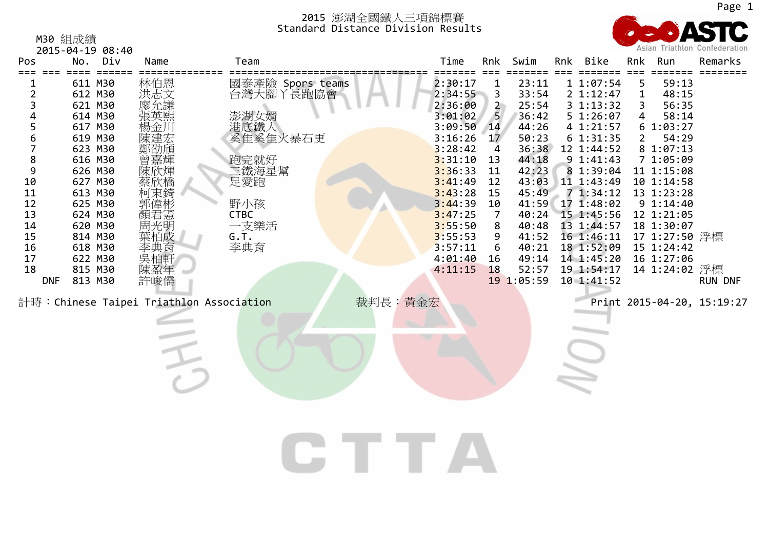M30 組成績



|                                                                                                                       |                                                                                                                                                                                                                                  | 2015-04-19 08:40    |                                                                                                                                                                                                                                                                |                                                                                                                                               |                                                                                                                                                                                                    |                                                                                                                           |                                                                                                                                                                     |     |                                                                                                                                                                                                                                                                   |                                             |                                                                                                                                                                                                                                  | Asian Triathton Confederation                |
|-----------------------------------------------------------------------------------------------------------------------|----------------------------------------------------------------------------------------------------------------------------------------------------------------------------------------------------------------------------------|---------------------|----------------------------------------------------------------------------------------------------------------------------------------------------------------------------------------------------------------------------------------------------------------|-----------------------------------------------------------------------------------------------------------------------------------------------|----------------------------------------------------------------------------------------------------------------------------------------------------------------------------------------------------|---------------------------------------------------------------------------------------------------------------------------|---------------------------------------------------------------------------------------------------------------------------------------------------------------------|-----|-------------------------------------------------------------------------------------------------------------------------------------------------------------------------------------------------------------------------------------------------------------------|---------------------------------------------|----------------------------------------------------------------------------------------------------------------------------------------------------------------------------------------------------------------------------------|----------------------------------------------|
| Pos                                                                                                                   | No.                                                                                                                                                                                                                              | Div                 | Name                                                                                                                                                                                                                                                           | Team                                                                                                                                          | Time                                                                                                                                                                                               | Rnk                                                                                                                       | Swim                                                                                                                                                                | Rnk | Bike                                                                                                                                                                                                                                                              | Rnk                                         | Run                                                                                                                                                                                                                              | Remarks                                      |
| $\overline{2}$<br>3<br>4<br>5<br>6<br>7<br>8<br>9<br>10<br>11<br>12<br>13<br>14<br>15<br>16<br>17<br>18<br><b>DNF</b> | $=$ $=$ $=$ $=$<br>611 M30<br>612 M30<br>621 M30<br>614 M30<br>617 M30<br>619 M30<br>623 M30<br>616 M30<br>626 M30<br>627 M30<br>613 M30<br>625 M30<br>624 M30<br>620 M30<br>814 M30<br>618 M30<br>622 M30<br>815 M30<br>813 M30 | $=$ $=$ $=$ $=$ $=$ | 林洪志允謙熙<br><br><br><br><br><br><br><br><br><br><br><br><br><br><br><br><br><br><br><br><br><br><br><br><br><br><br>楊金川<br>陳建宏<br>鄭劭頎<br>曾嘉輝<br>陳欣煇<br>蔡欣橋<br><u>柯</u> 東錡<br>郭偉彬憲明<br>葉柏成<br>李典育<br>吳柏軒<br>陳盈年<br>許峻儒<br>計時:Chinese Taipei Triathlon Association | 國泰產險 Spors teams<br>台灣大腳<br>丫長跑協會<br>澎湖女婿<br>常底鐵人<br>奚隹奚隹火暴石更<br>跑完就好<br>三鐵海星幫<br>足愛跑<br>野小孩<br><b>CTBC</b><br>一支樂活<br>G.T.<br>李典育<br>裁判長:黃金宏 | 2:30:17<br>2:34:55<br>2:36:00<br>3:01:02<br>3:09:50<br>3:16:26<br>3:28:42<br>3:31:10<br>3:36:33<br>3:41:49<br>3:43:28<br>3:44:39<br>3:47:25<br>3:55:50<br>3:55:53<br>3:57:11<br>4:01:40<br>4:11:15 | 3<br>$\begin{array}{c} 2 \\ 5 \end{array}$<br>14<br>17<br>4<br>13<br>11<br>12<br>15<br>10<br>7<br>8<br>9<br>6<br>16<br>18 | 23:11<br>33:54<br>25:54<br>36:42<br>44:26<br>50:23<br>36:38<br>44:18<br>42:23<br>43:03<br>45:49<br>41:59<br>40:48<br>41:52<br>40:21<br>49:14<br>52:57<br>19 1:05:59 |     | 11:07:54<br>2 1:12:47<br>3 1:13:32<br>5 1:26:07<br>4 1:21:57<br>6 1:31:35<br>12 1:44:52<br>9 1:41:43<br>8 1:39:04<br>11 1:43:49<br>71:34:12<br>17 1:48:02<br>40:24 15 1:45:56<br>13 1:44:57<br>16 1:46:11<br>18 1:52:09<br>14 1:45:20<br>19 1:54:17<br>10 1:41:52 | 5<br>$\mathbf{1}$<br>3<br>4<br>$\mathbf{2}$ | 59:13<br>48:15<br>56:35<br>58:14<br>61:03:27<br>54:29<br>8 1:07:13<br>7 1:05:09<br>11 1:15:08<br>10 1:14:58<br>13 1:23:28<br>9 1:14:40<br>12 1:21:05<br>18 1:30:07<br>17 1:27:50 浮標<br>15 1:24:42<br>16 1:27:06<br>14 1:24:02 浮標 | <b>RUN DNF</b><br>Print 2015-04-20, 15:19:27 |
|                                                                                                                       |                                                                                                                                                                                                                                  |                     |                                                                                                                                                                                                                                                                |                                                                                                                                               |                                                                                                                                                                                                    |                                                                                                                           |                                                                                                                                                                     |     |                                                                                                                                                                                                                                                                   |                                             |                                                                                                                                                                                                                                  |                                              |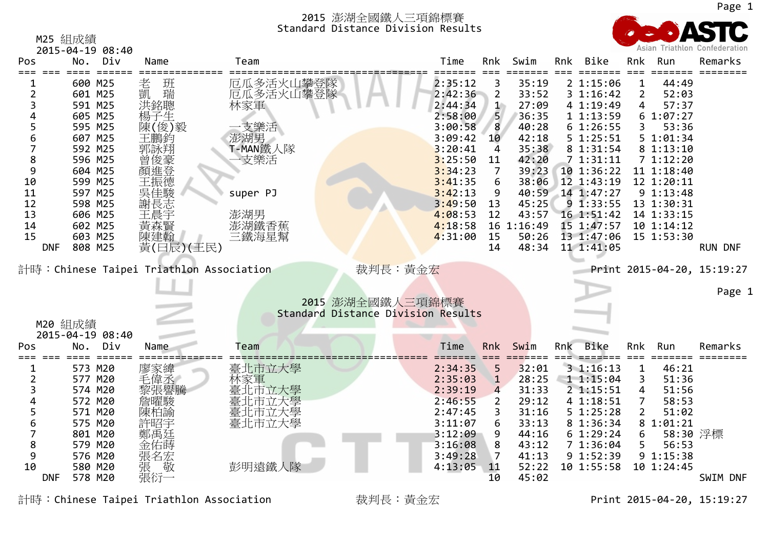

|            |                             |                                         |                        | <b>DISCANCE DIVISION RESULTS</b>   |         |                  |            |     |            |                |            |                               |
|------------|-----------------------------|-----------------------------------------|------------------------|------------------------------------|---------|------------------|------------|-----|------------|----------------|------------|-------------------------------|
|            | M25 組成績<br>2015-04-19 08:40 |                                         |                        |                                    |         |                  |            |     |            |                |            | Asian Triathlon Confederation |
| Pos        | Div<br>No .                 | Name                                    | Team                   |                                    | Time    | Rnk              | Swim       | Rnk | Bike       | Rnk            | Run        | Remarks                       |
|            | 600 M25                     | 老<br>班瑞                                 | 厄瓜多活火山攀登隊<br>厄瓜多活火山攀登隊 |                                    | 2:35:12 | 3                | 35:19      |     | 21:15:06   | $\mathbf{1}$   | 44:49      |                               |
| 2          | 601 M25                     | 凱                                       |                        |                                    | 2:42:36 | $\overline{2}$   | 33:52      |     | 31:16:42   | $\overline{2}$ | 52:03      |                               |
| 3          | 591 M25                     | 洪銘聰                                     | 林家軍                    |                                    | 2:44:34 | $\mathbf{1}$     | 27:09      |     | 4 1:19:49  | 4              | 57:37      |                               |
| 4          | 605 M25                     | 楊子生                                     |                        |                                    | 2:58:00 | 5                | 36:35      |     | 11:13:59   |                | 61:07:27   |                               |
| 5          | 595 M25                     | 陳(俊)毅                                   | 支樂活                    |                                    | 3:00:58 | $\boldsymbol{8}$ | 40:28      |     | 61:26:55   | 3              | 53:36      |                               |
| 6          | 607 M25                     | 王鵬鈞                                     | 澎湖男                    |                                    | 3:09:42 | 10               | 42:18      |     | 5 1:25:51  |                | 5 1:01:34  |                               |
| 7          | 592 M25                     | 郭詠翔                                     | T-MAN鐵人隊               |                                    | 3:20:41 | 4                | 35:38      |     | 8 1:31:54  |                | 8 1:13:10  |                               |
| 8          | 596 M25                     | 曾俊豪<br>顏進登                              | 支樂活                    |                                    | 3:25:50 | 11               | 42:20      |     | 71:31:11   |                | 71:12:20   |                               |
| 9          | 604 M25                     |                                         |                        |                                    | 3:34:23 | 7                | 39:23      |     | 10 1:36:22 |                | 11 1:18:40 |                               |
| 10         | 599 M25                     | 王振德                                     |                        |                                    | 3:41:35 | 6                | 38:06      |     | 12 1:43:19 |                | 12 1:20:11 |                               |
| 11         | 597 M25                     | 吳佳駿                                     | super PJ               |                                    | 3:42:13 | 9                | 40:59      |     | 14 1:47:27 |                | 9 1:13:48  |                               |
| 12         | 598 M25                     | 謝長志                                     |                        |                                    | 3:49:50 | 13               | 45:25      |     | 91:33:55   |                | 13 1:30:31 |                               |
| 13         | 606 M25                     | 王晨宇                                     | 澎湖男                    |                                    | 4:08:53 | 12               | 43:57      |     | 16 1:51:42 |                | 14 1:33:15 |                               |
| 14         | 602 M25                     | 黃森賢                                     | 澎湖鐵香蕉                  |                                    | 4:18:58 |                  | 16 1:16:49 |     | 15 1:47:57 |                | 10 1:14:12 |                               |
| 15         | 603 M25                     | 陳建翰                                     | 三鐵海星幫                  |                                    | 4:31:00 | 15               | 50:26      |     | 13 1:47:06 |                | 15 1:53:30 |                               |
| <b>DNF</b> | 808 M25                     | 黃(曰辰)(王民)                               |                        |                                    |         | 14               | 48:34      |     | 11 1:41:05 |                |            | <b>RUN DNF</b>                |
|            |                             |                                         |                        |                                    |         |                  |            |     |            |                |            |                               |
|            |                             | 計時:Chinese Taipei Triathlon Association |                        | 裁判長:黃金宏                            |         |                  |            |     |            |                |            | Print 2015-04-20, 15:19:27    |
|            |                             |                                         |                        |                                    |         |                  |            |     |            |                |            |                               |
|            |                             |                                         |                        | 2015 澎湖全國鐵人三項錦標賽                   |         |                  |            |     |            |                |            | Page                          |
|            |                             |                                         |                        | Standard Distance Division Results |         |                  |            |     |            |                |            |                               |
|            | M20 組成績                     |                                         |                        |                                    |         |                  |            |     |            |                |            |                               |
|            | 2015-04-19 08:40            |                                         |                        |                                    |         |                  |            |     |            |                |            |                               |
| Pos        | Div<br>No.                  | Name                                    | Team                   |                                    | Time    | Rnk              | Swim       | Rnk | Bike       | Rnk            | Run        | Remarks                       |
|            |                             |                                         |                        |                                    |         |                  |            |     |            |                |            |                               |
| 1          | 573 M20                     | 廖家緯                                     | 臺北市立大學                 |                                    | 2:34:35 | 5                | 32:01      |     | 31:16:13   | $\mathbf 1$    | 46:21      |                               |
| 2          | 577 M20                     | 毛偉丞                                     | 林家軍                    |                                    | 2:35:03 | $\mathbf{1}$     | 28:25      |     | 11:15:04   | 3              | 51:36      |                               |
|            | 574 M20                     |                                         | 臺北市立大學                 |                                    | 2:39:19 | 4                | 31:33      |     | 21:15:51   | 4              | 51:56      |                               |
|            | 572 M20                     |                                         | 上市立大學                  |                                    | 2:46:55 | $\overline{2}$   | 29:12      |     | 4 1:18:51  | 7              | 58:53      |                               |
|            | 571 M20                     | 東柏諭                                     | 臺北市立大學                 |                                    | 2:47:45 | 3                | 31:16      |     | 51:25:28   | $\overline{2}$ | 51:02      |                               |
| 6          | 575 M20                     | 許昭宇                                     | 臺北市立大學                 |                                    | 3:11:07 | 6                | 33:13      |     | 8 1:36:34  |                | 8 1:01:21  |                               |
| 7          | 801 M20                     | 鄭禹廷                                     |                        |                                    | 3:12:09 | 9                | 44:16      |     | 61:29:24   | 6              | 58:30 浮標   |                               |
| 8          | 579 M20                     | 金佑蒔                                     |                        |                                    | 3:16:08 | 8                | 43:12      |     | 7 1:36:04  | 5              | 56:53      |                               |
| 9          | 576 M20                     | 張名宏                                     |                        |                                    | 3:49:28 | 7                | 41:13      |     | 9 1:52:39  |                | 9 1:15:38  |                               |
| 10         | 580 M20                     | 敬<br>張                                  | 彭明遠鐵人隊                 |                                    | 4:13:05 | 11               | 52:22      |     | 10 1:55:58 |                | 10 1:24:45 |                               |
| <b>DNF</b> | 578 M20                     | 張衍一                                     |                        |                                    |         | 10               | 45:02      |     |            |                |            | SWIM DNF                      |

F 578 M20 張衍一 10 45:02 SWIM DNF

Page 1

計時:Chinese Taipei Triathlon Association 裁判長:黃金宏 Print <sup>2015</sup>‐04‐20, 15:19:27

Page 1